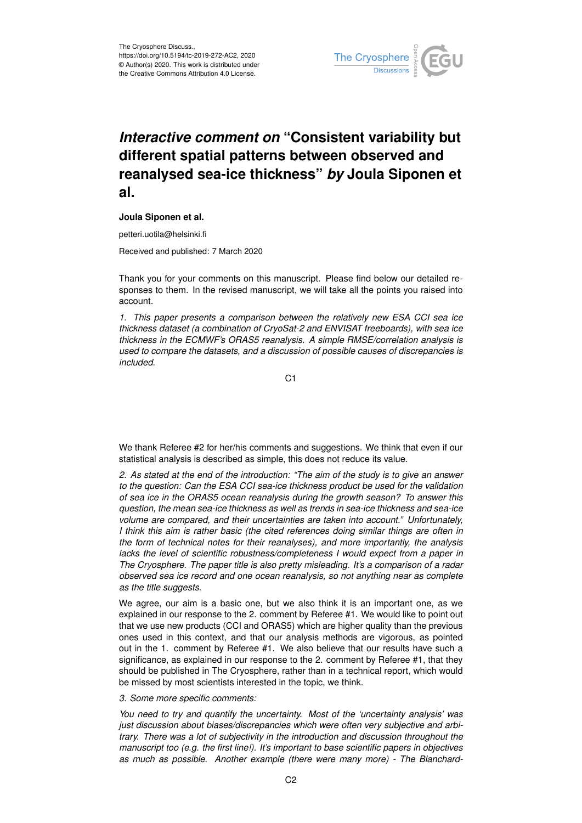

## *Interactive comment on* **"Consistent variability but different spatial patterns between observed and reanalysed sea-ice thickness"** *by* **Joula Siponen et al.**

## **Joula Siponen et al.**

petteri.uotila@helsinki.fi

Received and published: 7 March 2020

Thank you for your comments on this manuscript. Please find below our detailed responses to them. In the revised manuscript, we will take all the points you raised into account.

*1. This paper presents a comparison between the relatively new ESA CCI sea ice thickness dataset (a combination of CryoSat-2 and ENVISAT freeboards), with sea ice thickness in the ECMWF's ORAS5 reanalysis. A simple RMSE/correlation analysis is used to compare the datasets, and a discussion of possible causes of discrepancies is included.*

C1

We thank Referee #2 for her/his comments and suggestions. We think that even if our statistical analysis is described as simple, this does not reduce its value.

*2. As stated at the end of the introduction: "The aim of the study is to give an answer to the question: Can the ESA CCI sea-ice thickness product be used for the validation of sea ice in the ORAS5 ocean reanalysis during the growth season? To answer this question, the mean sea-ice thickness as well as trends in sea-ice thickness and sea-ice volume are compared, and their uncertainties are taken into account." Unfortunately, I think this aim is rather basic (the cited references doing similar things are often in the form of technical notes for their reanalyses), and more importantly, the analysis lacks the level of scientific robustness/completeness I would expect from a paper in The Cryosphere. The paper title is also pretty misleading. It's a comparison of a radar observed sea ice record and one ocean reanalysis, so not anything near as complete as the title suggests.*

We agree, our aim is a basic one, but we also think it is an important one, as we explained in our response to the 2. comment by Referee #1. We would like to point out that we use new products (CCI and ORAS5) which are higher quality than the previous ones used in this context, and that our analysis methods are vigorous, as pointed out in the 1. comment by Referee #1. We also believe that our results have such a significance, as explained in our response to the 2. comment by Referee #1, that they should be published in The Cryosphere, rather than in a technical report, which would be missed by most scientists interested in the topic, we think.

## *3. Some more specific comments:*

*You need to try and quantify the uncertainty. Most of the 'uncertainty analysis' was just discussion about biases/discrepancies which were often very subjective and arbitrary. There was a lot of subjectivity in the introduction and discussion throughout the manuscript too (e.g. the first line!). It's important to base scientific papers in objectives as much as possible. Another example (there were many more) - The Blanchard-*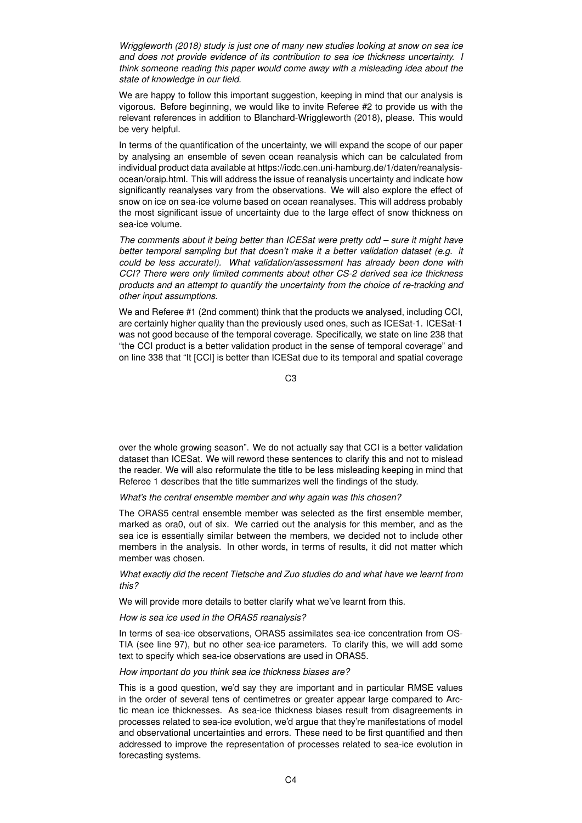*Wriggleworth (2018) study is just one of many new studies looking at snow on sea ice and does not provide evidence of its contribution to sea ice thickness uncertainty. I think someone reading this paper would come away with a misleading idea about the state of knowledge in our field.*

We are happy to follow this important suggestion, keeping in mind that our analysis is vigorous. Before beginning, we would like to invite Referee #2 to provide us with the relevant references in addition to Blanchard-Wriggleworth (2018), please. This would be very helpful.

In terms of the quantification of the uncertainty, we will expand the scope of our paper by analysing an ensemble of seven ocean reanalysis which can be calculated from individual product data available at https://icdc.cen.uni-hamburg.de/1/daten/reanalysisocean/oraip.html. This will address the issue of reanalysis uncertainty and indicate how significantly reanalyses vary from the observations. We will also explore the effect of snow on ice on sea-ice volume based on ocean reanalyses. This will address probably the most significant issue of uncertainty due to the large effect of snow thickness on sea-ice volume.

*The comments about it being better than ICESat were pretty odd – sure it might have better temporal sampling but that doesn't make it a better validation dataset (e.g. it could be less accurate!). What validation/assessment has already been done with CCI? There were only limited comments about other CS-2 derived sea ice thickness products and an attempt to quantify the uncertainty from the choice of re-tracking and other input assumptions.*

We and Referee #1 (2nd comment) think that the products we analysed, including CCI, are certainly higher quality than the previously used ones, such as ICESat-1. ICESat-1 was not good because of the temporal coverage. Specifically, we state on line 238 that "the CCI product is a better validation product in the sense of temporal coverage" and on line 338 that "It [CCI] is better than ICESat due to its temporal and spatial coverage

 $C<sub>3</sub>$ 

over the whole growing season". We do not actually say that CCI is a better validation dataset than ICESat. We will reword these sentences to clarify this and not to mislead the reader. We will also reformulate the title to be less misleading keeping in mind that Referee 1 describes that the title summarizes well the findings of the study.

*What's the central ensemble member and why again was this chosen?*

The ORAS5 central ensemble member was selected as the first ensemble member, marked as ora0, out of six. We carried out the analysis for this member, and as the sea ice is essentially similar between the members, we decided not to include other members in the analysis. In other words, in terms of results, it did not matter which member was chosen.

*What exactly did the recent Tietsche and Zuo studies do and what have we learnt from this?*

We will provide more details to better clarify what we've learnt from this.

*How is sea ice used in the ORAS5 reanalysis?*

In terms of sea-ice observations, ORAS5 assimilates sea-ice concentration from OS-TIA (see line 97), but no other sea-ice parameters. To clarify this, we will add some text to specify which sea-ice observations are used in ORAS5.

*How important do you think sea ice thickness biases are?*

This is a good question, we'd say they are important and in particular RMSE values in the order of several tens of centimetres or greater appear large compared to Arctic mean ice thicknesses. As sea-ice thickness biases result from disagreements in processes related to sea-ice evolution, we'd argue that they're manifestations of model and observational uncertainties and errors. These need to be first quantified and then addressed to improve the representation of processes related to sea-ice evolution in forecasting systems.